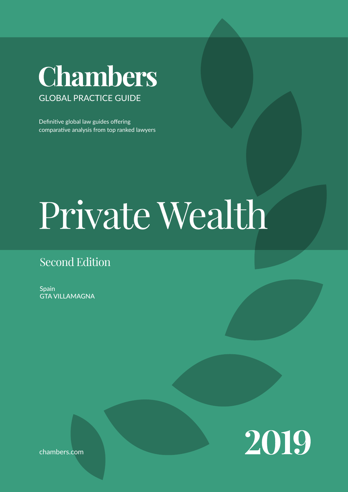## Chambers GLOBAL PRACTICE GUIDE

Definitive global law guides offering comparative analysis from top ranked lawyers

# Private Wealth

### Second Edition

**Spain** GTA VILLAMAGNA



chambers.com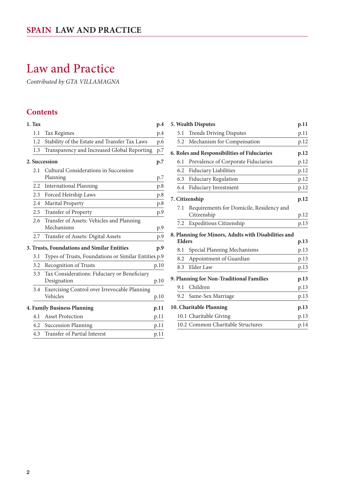## Law and Practice

*Contributed by GTA VILLAMAGNA*

#### **Contents**

| 1. Tax        |                                                             | p.4  |
|---------------|-------------------------------------------------------------|------|
| 1.1           | <b>Tax Regimes</b>                                          | p.4  |
| 1.2           | Stability of the Estate and Transfer Tax Laws               | p.6  |
| 1.3           | Transparency and Increased Global Reporting                 | p.7  |
|               | 2. Succession                                               | p.7  |
| 2.1           | Cultural Considerations in Succession<br>Planning           | p.7  |
| $2.2^{\circ}$ | <b>International Planning</b>                               | p.8  |
| 2.3           | Forced Heirship Laws                                        | p.8  |
| 2.4           | Marital Property                                            | p.8  |
| 2.5           | Transfer of Property                                        | p.9  |
| 2.6           | Transfer of Assets: Vehicles and Planning<br>Mechanisms     | p.9  |
| 2.7           | Transfer of Assets: Digital Assets                          | p.9  |
|               | 3. Trusts, Foundations and Similar Entities                 | p.9  |
| 3.1           | Types of Trusts, Foundations or Similar Entities p.9        |      |
| 3.2           | Recognition of Trusts                                       | p.10 |
| 3.3           | Tax Considerations: Fiduciary or Beneficiary<br>Designation | p.10 |
| 3.4           | Exercising Control over Irrevocable Planning<br>Vehicles    | p.10 |
|               | 4. Family Business Planning                                 | p.11 |
| 4.1           | <b>Asset Protection</b>                                     | p.11 |
|               | 4.2 Succession Planning                                     | p.11 |
| 4.3           | Transfer of Partial Interest                                | p.11 |

| 5. Wealth Disputes                           |                                                         | p.11 |
|----------------------------------------------|---------------------------------------------------------|------|
| 5.1                                          | <b>Trends Driving Disputes</b>                          | p.11 |
| 5.2                                          | Mechanism for Compensation                              | p.12 |
| 6. Roles and Responsibilities of Fiduciaries |                                                         | p.12 |
| 6.1                                          | Prevalence of Corporate Fiduciaries                     | p.12 |
| 6.2                                          | Fiduciary Liabilities                                   | p.12 |
| 6.3                                          | <b>Fiduciary Regulation</b>                             | p.12 |
| 6.4                                          | Fiduciary Investment                                    | p.12 |
| 7. Citizenship                               |                                                         | p.12 |
| 7.1                                          | Requirements for Domicile, Residency and<br>Citizenship | p.12 |
| 7.2                                          | Expeditious Citizenship                                 | p.13 |
| <b>Elders</b>                                | 8. Planning for Minors, Adults with Disabilities and    | p.13 |
| 8.1                                          | Special Planning Mechanisms                             | p.13 |
| 8.2                                          | Appointment of Guardian                                 | p.13 |
| 8.3                                          | Elder Law                                               | p.13 |
|                                              | 9. Planning for Non-Traditional Families                | p.13 |
| 9.1                                          | Children                                                | p.13 |
| 9.2                                          | Same-Sex Marriage                                       | p.13 |
|                                              | 10. Charitable Planning                                 | p.13 |
|                                              | 10.1 Charitable Giving                                  | p.13 |
|                                              | 10.2 Common Charitable Structures                       | p.14 |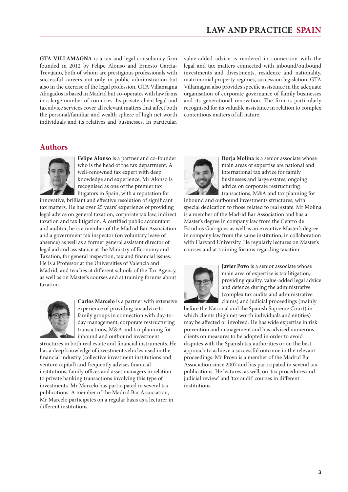**GTA VILLAMAGNA** is a tax and legal consultancy firm founded in 2012 by Felipe Alonso and Ernesto García-Trevijano, both of whom are prestigious professionals with successful careers not only in public administration but also in the exercise of the legal profession. GTA Villamagna Abogados is based in Madrid but co-operates with law firms in a large number of countries. Its private-client legal and tax advice services cover all relevant matters that affect both the personal/familiar and wealth sphere of high net worth individuals and its relatives and businesses. In particular, value-added advice is rendered in connection with the legal and tax matters connected with inbound/outbound investments and divestments, residence and nationality, matrimonial property regimes, succession legislation. GTA Villamagna also provides specific assistance in the adequate organisation of corporate governance of family businesses and its generational renovation. The firm is particularly recognised for its valuable assistance in relation to complex contentious matters of all nature.

#### **Authors**



**Felipe Alonso** is a partner and co-founder who is the head of the tax department. A well-renowned tax expert with deep knowledge and experience, Mr Alonso is recognised as one of the premier tax litigators in Spain, with a reputation for

innovative, brilliant and effective resolution of significant tax matters. He has over 25 years' experience of providing legal advice on general taxation, corporate tax law, indirect taxation and tax litigation. A certified public accountant and auditor, he is a member of the Madrid Bar Association and a government tax inspector (on voluntary leave of absence) as well as a former general assistant director of legal aid and assistance at the Ministry of Economy and Taxation, for general inspection, tax and financial issues. He is a Professor at the Universities of Valencia and Madrid, and teaches at different schools of the Tax Agency, as well as on Master's courses and at training forums about taxation.



**Carlos Marcelo** is a partner with extensive experience of providing tax advice to family groups in connection with day-today management, corporate restructuring transactions, M&A and tax planning for inbound and outbound investment

structures in both real estate and financial instruments. He has a deep knowledge of investment vehicles used in the financial industry (collective investment institutions and venture capital) and frequently advises financial institutions, family offices and asset managers in relation to private banking transactions involving this type of investments. Mr Marcelo has participated in several tax publications. A member of the Madrid Bar Association, Mr Marcelo participates on a regular basis as a lecturer in different institutions.



**Borja Molina** is a senior associate whose main areas of expertise are national and international tax advice for family businesses and large estates, ongoing advice on corporate restructuring transactions, M&A and tax planning for

inbound and outbound investments structures, with special dedication to those related to real estate. Mr Molina is a member of the Madrid Bar Association and has a Master's degree in company law from the Centro de Estudios Garrigues as well as an executive Master's degree in company law from the same institution, in collaboration with Harvard University. He regularly lectures on Master's courses and at training forums regarding taxation.



**Javier Povo** is a senior associate whose main area of expertise is tax litigation, providing quality, value-added legal advice and defence during the administrative (complex tax audits and administrative claims) and judicial proceedings (mainly

before the National and the Spanish Supreme Court) in which clients (high net-worth individuals and entities) may be affected or involved. He has wide expertise in risk prevention and management and has advised numerous clients on measures to be adopted in order to avoid disputes with the Spanish tax authorities or on the best approach to achieve a successful outcome in the relevant proceedings. Mr Provo is a member of the Madrid Bar Association since 2007 and has participated in several tax publications. He lectures, as well, on 'tax procedures and judicial review' and 'tax audit' courses in different institutions.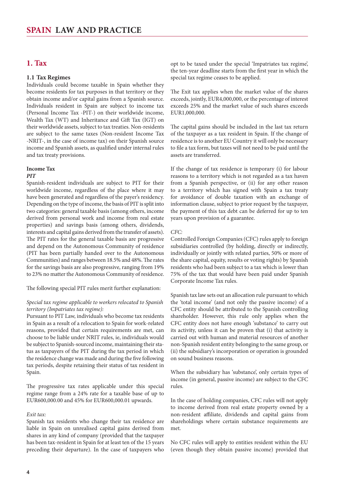#### <span id="page-3-0"></span>**1. Tax**

#### **1.1 Tax Regimes**

Individuals could become taxable in Spain whether they become residents for tax purposes in that territory or they obtain income and/or capital gains from a Spanish source. Individuals resident in Spain are subject to income tax (Personal Income Tax -PIT-) on their worldwide income, Wealth Tax (WT) and Inheritance and Gift Tax (IGT) on their worldwide assets, subject to tax treaties. Non-residents are subject to the same taxes (Non-resident Income Tax -NRIT-, in the case of income tax) on their Spanish source income and Spanish assets, as qualified under internal rules and tax treaty provisions.

#### **Income Tax**

#### *PIT*

Spanish-resident individuals are subject to PIT for their worldwide income, regardless of the place where it may have been generated and regardless of the payer's residency. Depending on the type of income, the basis of PIT is split into two categories: general taxable basis (among others, income derived from personal work and income from real estate properties) and savings basis (among others, dividends, interests and capital gains derived from the transfer of assets). The PIT rates for the general taxable basis are progressive and depend on the Autonomous Community of residence (PIT has been partially handed over to the Autonomous Communities) and ranges between 18.5% and 48%. The rates for the savings basis are also progressive, ranging from 19% to 23% no matter the Autonomous Community of residence.

The following special PIT rules merit further explanation:

#### *Special tax regime applicable to workers relocated to Spanish territory (Impatriates tax regime):*

Pursuant to PIT Law, individuals who become tax residents in Spain as a result of a relocation to Spain for work-related reasons, provided that certain requirements are met, can choose to be liable under NRIT rules, ie, individuals would be subject to Spanish-sourced income, maintaining their status as taxpayers of the PIT during the tax period in which the residence change was made and during the five following tax periods, despite retaining their status of tax resident in Spain.

The progressive tax rates applicable under this special regime range from a 24% rate for a taxable base of up to EUR600,000.00 and 45% for EUR600,000.01 upwards.

#### *Exit tax:*

Spanish tax residents who change their tax residence are liable in Spain on unrealised capital gains derived from shares in any kind of company (provided that the taxpayer has been tax-resident in Spain for at least ten of the 15 years preceding their departure). In the case of taxpayers who opt to be taxed under the special 'Impatriates tax regime', the ten-year deadline starts from the first year in which the special tax regime ceases to be applied.

The Exit tax applies when the market value of the shares exceeds, jointly, EUR4,000,000, or the percentage of interest exceeds 25% and the market value of such shares exceeds EUR1,000,000.

The capital gains should be included in the last tax return of the taxpayer as a tax resident in Spain. If the change of residence is to another EU Country it will only be necessary to file a tax form, but taxes will not need to be paid until the assets are transferred.

If the change of tax residence is temporary (i) for labour reasons to a territory which is not regarded as a tax haven from a Spanish perspective, or (ii) for any other reason to a territory which has signed with Spain a tax treaty for avoidance of double taxation with an exchange of information clause, subject to prior request by the taxpayer, the payment of this tax debt can be deferred for up to ten years upon provision of a guarantee.

#### *CFC:*

Controlled Foreign Companies (CFC) rules apply to foreign subsidiaries controlled (by holding, directly or indirectly, individually or jointly with related parties, 50% or more of the share capital, equity, results or voting rights) by Spanish residents who had been subject to a tax which is lower than 75% of the tax that would have been paid under Spanish Corporate Income Tax rules.

Spanish tax law sets out an allocation rule pursuant to which the 'total income' (and not only the passive income) of a CFC entity should be attributed to the Spanish controlling shareholder. However, this rule only applies when the CFC entity does not have enough 'substance' to carry out its activity, unless it can be proven that (i) that activity is carried out with human and material resources of another non-Spanish resident entity belonging to the same group, or (ii) the subsidiary's incorporation or operation is grounded on sound business reasons.

When the subsidiary has 'substance', only certain types of income (in general, passive income) are subject to the CFC rules.

In the case of holding companies, CFC rules will not apply to income derived from real estate property owned by a non-resident affiliate, dividends and capital gains from shareholdings where certain substance requirements are met.

No CFC rules will apply to entities resident within the EU (even though they obtain passive income) provided that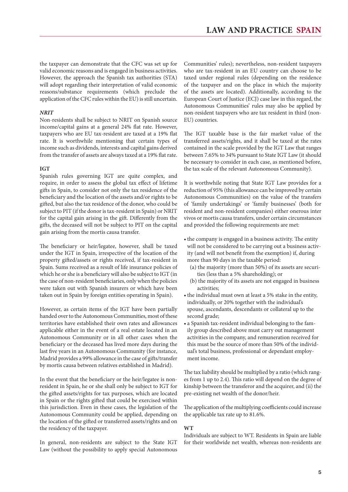the taxpayer can demonstrate that the CFC was set up for valid economic reasons and is engaged in business activities. However, the approach the Spanish tax authorities (STA) will adopt regarding their interpretation of valid economic reasons/substance requirements (which preclude the application of the CFC rules within the EU) is still uncertain.

#### *NRIT*

Non-residents shall be subject to NRIT on Spanish source income/capital gains at a general 24% flat rate. However, taxpayers who are EU tax-resident are taxed at a 19% flat rate. It is worthwhile mentioning that certain types of income such as dividends, interests and capital gains derived from the transfer of assets are always taxed at a 19% flat rate.

#### **IGT**

Spanish rules governing IGT are quite complex, and require, in order to assess the global tax effect of lifetime gifts in Spain, to consider not only the tax residence of the beneficiary and the location of the assets and/or rights to be gifted, but also the tax residence of the donor, who could be subject to PIT (if the donor is tax-resident in Spain) or NRIT for the capital gain arising in the gift. Differently from the gifts, the deceased will not be subject to PIT on the capital gain arising from the mortis causa transfer.

The beneficiary or heir/legatee, however, shall be taxed under the IGT in Spain, irrespective of the location of the property gifted/assets or rights received, if tax-resident in Spain. Sums received as a result of life insurance policies of which he or she is a beneficiary will also be subject to IGT (in the case of non-resident beneficiaries, only when the policies were taken out with Spanish insurers or which have been taken out in Spain by foreign entities operating in Spain).

However, as certain items of the IGT have been partially handed over to the Autonomous Communities, most of these territories have established their own rates and allowances applicable either in the event of a real estate located in an Autonomous Community or in all other cases when the beneficiary or the deceased has lived more days during the last five years in an Autonomous Community (for instance, Madrid provides a 99% allowance in the case of gifts/transfer by mortis causa between relatives established in Madrid).

In the event that the beneficiary or the heir/legatee is nonresident in Spain, he or she shall only be subject to IGT for the gifted assets/rights for tax purposes, which are located in Spain or the rights gifted that could be exercised within this jurisdiction. Even in these cases, the legislation of the Autonomous Community could be applied, depending on the location of the gifted or transferred assets/rights and on the residency of the taxpayer.

In general, non-residents are subject to the State IGT Law (without the possibility to apply special Autonomous

Communities' rules); nevertheless, non-resident taxpayers who are tax-resident in an EU country can choose to be taxed under regional rules (depending on the residence of the taxpayer and on the place in which the majority of the assets are located). Additionally, according to the European Court of Justice (ECJ) case law in this regard, the Autonomous Communities' rules may also be applied by non-resident taxpayers who are tax resident in third (non-EU) countries.

The IGT taxable base is the fair market value of the transferred assets/rights, and it shall be taxed at the rates contained in the scale provided by the IGT Law that ranges between 7.65% to 34% pursuant to State IGT Law (it should be necessary to consider in each case, as mentioned before, the tax scale of the relevant Autonomous Community).

It is worthwhile noting that State IGT Law provides for a reduction of 95% (this allowance can be improved by certain Autonomous Communities) on the value of the transfers of 'family undertakings' or 'family businesses' (both for resident and non-resident companies) either onerous inter vivos or mortis causa transfers, under certain circumstances and provided the following requirements are met:

- the company is engaged in a business activity. The entity will not be considered to be carrying out a business activity (and will not benefit from the exemption) if, during more than 90 days in the taxable period:
	- (a) the majority (more than 50%) of its assets are securities (less than a 5% shareholding); or
	- (b) the majority of its assets are not engaged in business activities;
- the individual must own at least a 5% stake in the entity, individually, or 20% together with the individual's spouse, ascendants, descendants or collateral up to the second grade;
- a Spanish tax-resident individual belonging to the family group described above must carry out management activities in the company, and remuneration received for this must be the source of more than 50% of the individual's total business, professional or dependant employment income.

The tax liability should be multiplied by a ratio (which ranges from 1 up to 2.4). This ratio will depend on the degree of kinship between the transferor and the acquirer, and (ii) the pre-existing net wealth of the donor/heir.

The application of the multiplying coefficients could increase the applicable tax rate up to 81.6%.

#### **WT**

Individuals are subject to WT. Residents in Spain are liable for their worldwide net wealth, whereas non-residents are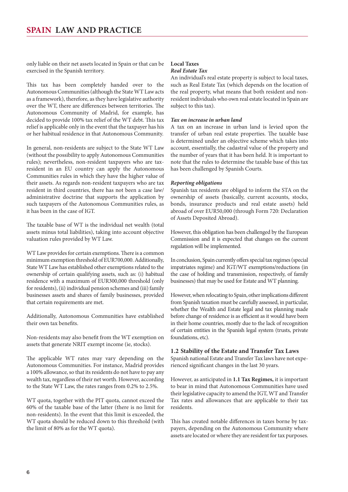<span id="page-5-0"></span>only liable on their net assets located in Spain or that can be exercised in the Spanish territory.

This tax has been completely handed over to the Autonomous Communities (although the State WT Law acts as a framework), therefore, as they have legislative authority over the WT, there are differences between territories. The Autonomous Community of Madrid, for example, has decided to provide 100% tax relief of the WT debt. This tax relief is applicable only in the event that the taxpayer has his or her habitual residence in that Autonomous Community.

In general, non-residents are subject to the State WT Law (without the possibility to apply Autonomous Communities rules); nevertheless, non-resident taxpayers who are taxresident in an EU country can apply the Autonomous Communities rules in which they have the higher value of their assets. As regards non-resident taxpayers who are tax resident in third countries, there has not been a case law/ administrative doctrine that supports the application by such taxpayers of the Autonomous Communities rules, as it has been in the case of IGT.

The taxable base of WT is the individual net wealth (total assets minus total liabilities), taking into account objective valuation rules provided by WT Law.

WT Law provides for certain exemptions. There is a common minimum exemption threshold of EUR700,000. Additionally, State WT Law has established other exemptions related to the ownership of certain qualifying assets, such as: (i) habitual residence with a maximum of EUR300,000 threshold (only for residents), (ii) individual pension schemes and (iii) family businesses assets and shares of family businesses, provided that certain requirements are met.

Additionally, Autonomous Communities have established their own tax benefits.

Non-residents may also benefit from the WT exemption on assets that generate NRIT exempt income (ie, stocks).

The applicable WT rates may vary depending on the Autonomous Communities. For instance, Madrid provides a 100% allowance, so that its residents do not have to pay any wealth tax, regardless of their net worth. However, according to the State WT Law, the rates ranges from 0.2% to 2.5%.

WT quota, together with the PIT quota, cannot exceed the 60% of the taxable base of the latter (there is no limit for non-residents). In the event that this limit is exceeded, the WT quota should be reduced down to this threshold (with the limit of 80% as for the WT quota).

#### **Local Taxes** *Real Estate Tax*

An individual's real estate property is subject to local taxes, such as Real Estate Tax (which depends on the location of the real property, what means that both resident and nonresident individuals who own real estate located in Spain are subject to this tax).

#### *Tax on increase in urban land*

A tax on an increase in urban land is levied upon the transfer of urban real estate properties. The taxable base is determined under an objective scheme which takes into account, essentially, the cadastral value of the property and the number of years that it has been held. It is important to note that the rules to determine the taxable base of this tax has been challenged by Spanish Courts.

#### *Reporting obligations*

Spanish tax residents are obliged to inform the STA on the ownership of assets (basically, current accounts, stocks, bonds, insurance products and real estate assets) held abroad of over EUR50,000 (through Form 720: Declaration of Assets Deposited Abroad).

However, this obligation has been challenged by the European Commission and it is expected that changes on the current regulation will be implemented.

In conclusion, Spain currently offers special tax regimes (special impatriates regime) and IGT/WT exemptions/reductions (in the case of holding and transmission, respectively, of family businesses) that may be used for Estate and WT planning.

However, when relocating to Spain, other implications different from Spanish taxation must be carefully assessed, in particular, whether the Wealth and Estate legal and tax planning made before change of residence is as efficient as it would have been in their home countries, mostly due to the lack of recognition of certain entities in the Spanish legal system (trusts, private foundations, etc).

#### **1.2 Stability of the Estate and Transfer Tax Laws**

Spanish national Estate and Transfer Tax laws have not experienced significant changes in the last 30 years.

However, as anticipated in **1.1 Tax Regimes,** it is important to bear in mind that Autonomous Communities have used their legislative capacity to amend the IGT, WT and Transfer Tax rates and allowances that are applicable to their tax residents.

This has created notable differences in taxes borne by taxpayers, depending on the Autonomous Community where assets are located or where they are resident for tax purposes.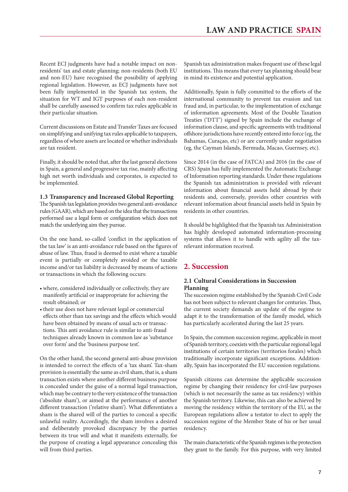<span id="page-6-0"></span>Recent ECJ judgments have had a notable impact on nonresidents' tax and estate planning; non-residents (both EU and non-EU) have recognised the possibility of applying regional legislation. However, as ECJ judgments have not been fully implemented in the Spanish tax system, the situation for WT and IGT purposes of each non-resident shall be carefully assessed to confirm tax rules applicable in their particular situation.

Current discussions on Estate and Transfer Taxes are focused on simplifying and unifying tax rules applicable to taxpayers, regardless of where assets are located or whether individuals are tax resident.

Finally, it should be noted that, after the last general elections in Spain, a general and progressive tax rise, mainly affecting high net worth individuals and corporates, is expected to be implemented.

#### **1.3 Transparency and Increased Global Reporting**

The Spanish tax legislation provides two general anti-avoidance rules (GAAR), which are based on the idea that the transactions performed use a legal form or configuration which does not match the underlying aim they pursue.

On the one hand, so-called 'conflict in the application of the tax law' is an anti-avoidance rule based on the figures of abuse of law. Thus, fraud is deemed to exist where a taxable event is partially or completely avoided or the taxable income and/or tax liability is decreased by means of actions or transactions in which the following occurs:

- • where, considered individually or collectively, they are manifestly artificial or inappropriate for achieving the result obtained; or
- their use does not have relevant legal or commercial effects other than tax savings and the effects which would have been obtained by means of usual acts or transactions. This anti avoidance rule is similar to anti-fraud techniques already known in common law as 'substance over form' and the 'business purpose test'.

On the other hand, the second general anti-abuse provision is intended to correct the effects of a 'tax sham'. Tax-sham provision is essentially the same as civil sham, that is, a sham transaction exists where another different business purpose is concealed under the guise of a normal legal transaction, which may be contrary to the very existence of the transaction ('absolute sham'), or aimed at the performance of another different transaction ('relative sham'). What differentiates a sham is the shared will of the parties to conceal a specific unlawful reality. Accordingly, the sham involves a desired and deliberately provoked discrepancy by the parties between its true will and what it manifests externally, for the purpose of creating a legal appearance concealing this will from third parties.

Spanish tax administration makes frequent use of these legal institutions. This means that every tax planning should bear in mind its existence and potential application.

Additionally, Spain is fully committed to the efforts of the international community to prevent tax evasion and tax fraud and, in particular, to the implementation of exchange of information agreements. Most of the Double Taxation Treaties ('DTT') signed by Spain include the exchange of information clause, and specific agreements with traditional offshore jurisdictions have recently entered into force (eg, the Bahamas, Curaçao, etc) or are currently under negotiation (eg, the Cayman Islands, Bermuda, Macao, Guernsey, etc).

Since 2014 (in the case of FATCA) and 2016 (in the case of CRS) Spain has fully implemented the Automatic Exchange of Information reporting standards. Under these regulations the Spanish tax administration is provided with relevant information about financial assets held abroad by their residents and, conversely, provides other countries with relevant information about financial assets held in Spain by residents in other countries.

It should be highlighted that the Spanish tax Administration has highly developed automated information-processing systems that allows it to handle with agility all the taxrelevant information received.

#### **2. Succession**

#### **2.1 Cultural Considerations in Succession Planning**

The succession regime established by the Spanish Civil Code has not been subject to relevant changes for centuries. Thus, the current society demands an update of the regime to adapt it to the transformation of the family model, which has particularly accelerated during the last 25 years.

In Spain, the common succession regime, applicable in most of Spanish territory, coexists with the particular regional legal institutions of certain territories (territorios forales) which traditionally incorporate significant exceptions. Additionally, Spain has incorporated the EU succession regulations.

Spanish citizens can determine the applicable succession regime by changing their residency for civil-law purposes (which is not necessarily the same as tax residency) within the Spanish territory. Likewise, this can also be achieved by moving the residency within the territory of the EU, as the European regulations allow a testator to elect to apply the succession regime of the Member State of his or her usual residency.

The main characteristic of the Spanish regimes is the protection they grant to the family. For this purpose, with very limited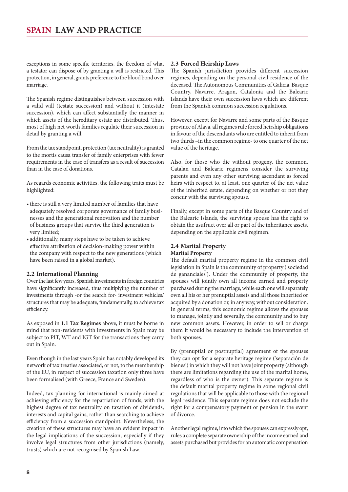<span id="page-7-0"></span>exceptions in some specific territories, the freedom of what a testator can dispose of by granting a will is restricted. This protection, in general, grants preference to the blood bond over marriage.

The Spanish regime distinguishes between succession with a valid will (testate succession) and without it (intestate succession), which can affect substantially the manner in which assets of the hereditary estate are distributed. Thus, most of high net worth families regulate their succession in detail by granting a will.

From the tax standpoint, protection (tax neutrality) is granted to the mortis causa transfer of family enterprises with fewer requirements in the case of transfers as a result of succession than in the case of donations.

As regards economic activities, the following traits must be highlighted:

- there is still a very limited number of families that have adequately resolved corporate governance of family businesses and the generational renovation and the number of business groups that survive the third generation is very limited;
- additionally, many steps have to be taken to achieve effective attribution of decision-making power within the company with respect to the new generations (which have been raised in a global market).

#### **2.2 International Planning**

Over the last few years, Spanish investments in foreign countries have significantly increased, thus multiplying the number of investments through -or the search for- investment vehicles/ structures that may be adequate, fundamentally, to achieve tax efficiency.

As exposed in **1.1 Tax Regimes** above, it must be borne in mind that non-residents with investments in Spain may be subject to PIT, WT and IGT for the transactions they carry out in Spain.

Even though in the last years Spain has notably developed its network of tax treaties associated, or not, to the membership of the EU, in respect of succession taxation only three have been formalised (with Greece, France and Sweden).

Indeed, tax planning for international is mainly aimed at achieving efficiency for the repatriation of funds, with the highest degree of tax neutrality on taxation of dividends, interests and capital gains, rather than searching to achieve efficiency from a succession standpoint. Nevertheless, the creation of these structures may have an evident impact in the legal implications of the succession, especially if they involve legal structures from other jurisdictions (namely, trusts) which are not recognised by Spanish Law.

#### **2.3 Forced Heirship Laws**

The Spanish jurisdiction provides different succession regimes, depending on the personal civil residence of the deceased. The Autonomous Communities of Galicia, Basque Country, Navarre, Aragon, Catalonia and the Balearic Islands have their own succession laws which are different from the Spanish common succession regulations.

However, except for Navarre and some parts of the Basque province of Alava, all regimes rule forced heirship obligations in favour of the descendants who are entitled to inherit from two thirds –in the common regime- to one quarter of the net value of the heritage.

Also, for those who die without progeny, the common, Catalan and Balearic regimens consider the surviving parents and even any other surviving ascendant as forced heirs with respect to, at least, one quarter of the net value of the inherited estate, depending on whether or not they concur with the surviving spouse.

Finally, except in some parts of the Basque Country and of the Balearic Islands, the surviving spouse has the right to obtain the usufruct over all or part of the inheritance assets, depending on the applicable civil regimen.

#### **2.4 Marital Property Marital Property**

The default marital property regime in the common civil legislation in Spain is the community of property ('sociedad de gananciales'). Under the community of property, the spouses will jointly own all income earned and property purchased during the marriage, while each one will separately own all his or her prenuptial assets and all those inherited or acquired by a donation or, in any way, without consideration. In general terms, this economic regime allows the spouses to manage, jointly and severally, the community and to buy new common assets. However, in order to sell or charge them it would be necessary to include the intervention of both spouses.

By (prenuptial or postnuptial) agreement of the spouses they can opt for a separate heritage regime ('separación de bienes') in which they will not have joint property (although there are limitations regarding the use of the marital home, regardless of who is the owner). This separate regime is the default marital property regime in some regional civil regulations that will be applicable to those with the regional legal residence. This separate regime does not exclude the right for a compensatory payment or pension in the event of divorce.

Another legal regime, into which the spouses can expressly opt, rules a complete separate ownership of the income earned and assets purchased but provides for an automatic compensation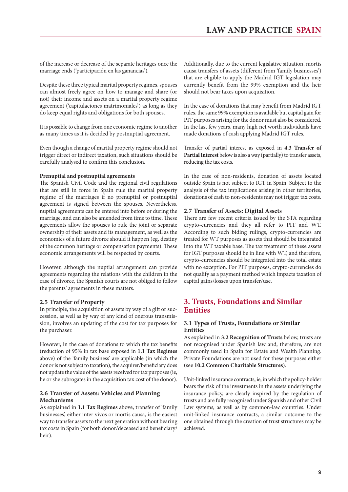<span id="page-8-0"></span>of the increase or decrease of the separate heritages once the marriage ends ('participación en las ganancias').

Despite these three typical marital property regimes, spouses can almost freely agree on how to manage and share (or not) their income and assets on a marital property regime agreement ('capitulaciones matrimoniales') as long as they do keep equal rights and obligations for both spouses.

It is possible to change from one economic regime to another as many times as it is decided by postnuptial agreement.

Even though a change of marital property regime should not trigger direct or indirect taxation, such situations should be carefully analysed to confirm this conclusion.

#### **Prenuptial and postnuptial agreements**

The Spanish Civil Code and the regional civil regulations that are still in force in Spain rule the marital property regime of the marriages if no prenuptial or postnuptial agreement is signed between the spouses. Nevertheless, nuptial agreements can be entered into before or during the marriage, and can also be amended from time to time. These agreements allow the spouses to rule the joint or separate ownership of their assets and its management, as well as the economics of a future divorce should it happen (eg, destiny of the common heritage or compensation payments). These economic arrangements will be respected by courts.

However, although the nuptial arrangement can provide agreements regarding the relations with the children in the case of divorce, the Spanish courts are not obliged to follow the parents' agreements in these matters.

#### **2.5 Transfer of Property**

In principle, the acquisition of assets by way of a gift or succession, as well as by way of any kind of onerous transmission, involves an updating of the cost for tax purposes for the purchaser.

However, in the case of donations to which the tax benefits (reduction of 95% in tax base exposed in **1.1 Tax Regimes** above) of the 'family business' are applicable (in which the donor is not subject to taxation), the acquirer/beneficiary does not update the value of the assets received for tax purposes (ie, he or she subrogates in the acquisition tax cost of the donor).

#### **2.6 Transfer of Assets: Vehicles and Planning Mechanisms**

As explained in **1.1 Tax Regimes** above, transfer of 'family businesses', either inter vivos or mortis causa, is the easiest way to transfer assets to the next generation without bearing tax costs in Spain (for both donor/deceased and beneficiary/ heir).

Additionally, due to the current legislative situation, mortis causa transfers of assets (different from 'family businesses') that are eligible to apply the Madrid IGT legislation may currently benefit from the 99% exemption and the heir should not bear taxes upon acquisition.

In the case of donations that may benefit from Madrid IGT rules, the same 99% exemption is available but capital gain for PIT purposes arising for the donor must also be considered. In the last few years, many high net worth individuals have made donations of cash applying Madrid IGT rules.

Transfer of partial interest as exposed in **4.3 Transfer of Partial Interest** below is also a way (partially) to transfer assets, reducing the tax costs.

In the case of non-residents, donation of assets located outside Spain is not subject to IGT in Spain. Subject to the analysis of the tax implications arising in other territories, donations of cash to non-residents may not trigger tax costs.

#### **2.7 Transfer of Assets: Digital Assets**

There are few recent criteria issued by the STA regarding crypto-currencies and they all refer to PIT and WT. According to such biding rulings, crypto-currencies are treated for WT purposes as assets that should be integrated into the WT taxable base. The tax treatment of these assets for IGT purposes should be in line with WT, and therefore, crypto-currencies should be integrated into the total estate with no exception. For PIT purposes, crypto-currencies do not qualify as a payment method which impacts taxation of capital gains/losses upon transfer/use.

#### **3. Trusts, Foundations and Similar Entities**

#### **3.1 Types of Trusts, Foundations or Similar Entities**

As explained in **3.2 Recognition of Trusts** below, trusts are not recognised under Spanish law and, therefore, are not commonly used in Spain for Estate and Wealth Planning. Private Foundations are not used for these purposes either (see **10.2 Common Charitable Structures**).

Unit-linked insurance contracts, ie, in which the policy-holder bears the risk of the investments in the assets underlying the insurance policy, are clearly inspired by the regulation of trusts and are fully recognised under Spanish and other Civil Law systems, as well as by common-law countries. Under unit-linked insurance contracts, a similar outcome to the one obtained through the creation of trust structures may be achieved.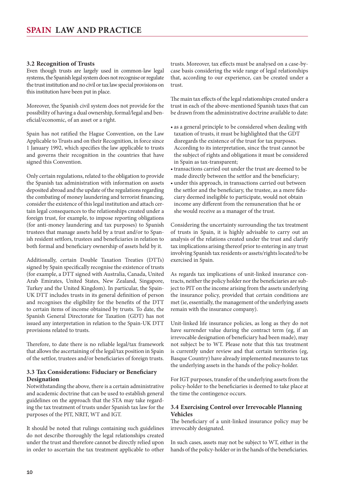#### <span id="page-9-0"></span>**3.2 Recognition of Trusts**

Even though trusts are largely used in common-law legal systems, the Spanish legal system does not recognise or regulate the trust institution and no civil or tax law special provisions on this institution have been put in place.

Moreover, the Spanish civil system does not provide for the possibility of having a dual ownership, formal/legal and beneficial/economic, of an asset or a right.

Spain has not ratified the Hague Convention, on the Law Applicable to Trusts and on their Recognition, in force since 1 January 1992, which specifies the law applicable to trusts and governs their recognition in the countries that have signed this Convention.

Only certain regulations, related to the obligation to provide the Spanish tax administration with information on assets deposited abroad and the update of the regulations regarding the combating of money laundering and terrorist financing, consider the existence of this legal institution and attach certain legal consequences to the relationships created under a foreign trust, for example, to impose reporting obligations (for anti-money laundering and tax purposes) to Spanish trustees that manage assets held by a trust and/or to Spanish resident settlors, trustees and beneficiaries in relation to both formal and beneficiary ownership of assets held by it.

Additionally, certain Double Taxation Treaties (DTTs) signed by Spain specifically recognise the existence of trusts (for example, a DTT signed with Australia, Canada, United Arab Emirates, United States, New Zealand, Singapore, Turkey and the United Kingdom). In particular, the Spain-UK DTT includes trusts in its general definition of person and recognises the eligibility for the benefits of the DTT to certain items of income obtained by trusts. To date, the Spanish General Directorate for Taxation (GDT) has not issued any interpretation in relation to the Spain-UK DTT provisions related to trusts.

Therefore, to date there is no reliable legal/tax framework that allows the ascertaining of the legal/tax position in Spain of the settlor, trustees and/or beneficiaries of foreign trusts.

#### **3.3 Tax Considerations: Fiduciary or Beneficiary Designation**

Notwithstanding the above, there is a certain administrative and academic doctrine that can be used to establish general guidelines on the approach that the STA may take regarding the tax treatment of trusts under Spanish tax law for the purposes of the PIT, NRIT, WT and IGT.

It should be noted that rulings containing such guidelines do not describe thoroughly the legal relationships created under the trust and therefore cannot be directly relied upon in order to ascertain the tax treatment applicable to other

trusts. Moreover, tax effects must be analysed on a case-bycase basis considering the wide range of legal relationships that, according to our experience, can be created under a trust.

The main tax effects of the legal relationships created under a trust in each of the above-mentioned Spanish taxes that can be drawn from the administrative doctrine available to date:

- as a general principle to be considered when dealing with taxation of trusts, it must be highlighted that the GDT disregards the existence of the trust for tax purposes. According to its interpretation, since the trust cannot be the subject of rights and obligations it must be considered in Spain as tax-transparent;
- • transactions carried out under the trust are deemed to be made directly between the settlor and the beneficiary;
- under this approach, in transactions carried out between the settlor and the beneficiary, the trustee, as a mere fiduciary deemed ineligible to participate, would not obtain income any different from the remuneration that he or she would receive as a manager of the trust.

Considering the uncertainty surrounding the tax treatment of trusts in Spain, it is highly advisable to carry out an analysis of the relations created under the trust and clarify tax implications arising thereof prior to entering in any trust involving Spanish tax residents or assets/rights located/to be exercised in Spain.

As regards tax implications of unit-linked insurance contracts, neither the policy holder nor the beneficiaries are subject to PIT on the income arising from the assets underlying the insurance policy, provided that certain conditions are met (ie, essentially, the management of the underlying assets remain with the insurance company).

Unit-linked life insurance policies, as long as they do not have surrender value during the contract term (eg, if an irrevocable designation of beneficiary had been made), may not subject be to WT. Please note that this tax treatment is currently under review and that certain territories (eg, Basque Country) have already implemented measures to tax the underlying assets in the hands of the policy-holder.

For IGT purposes, transfer of the underlying assets from the policy-holder to the beneficiaries is deemed to take place at the time the contingence occurs.

#### **3.4 Exercising Control over Irrevocable Planning Vehicles**

The beneficiary of a unit-linked insurance policy may be irrevocably designated.

In such cases, assets may not be subject to WT, either in the hands of the policy-holder or in the hands of the beneficiaries.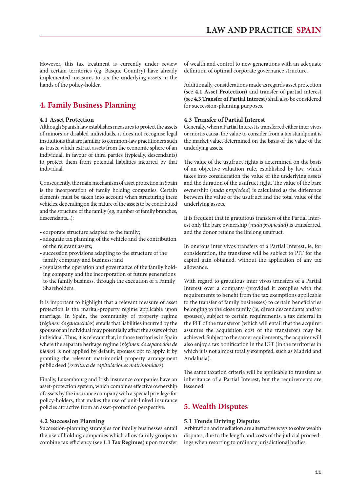<span id="page-10-0"></span>However, this tax treatment is currently under review and certain territories (eg, Basque Country) have already implemented measures to tax the underlying assets in the hands of the policy-holder.

#### **4. Family Business Planning**

#### **4.1 Asset Protection**

Although Spanish law establishes measures to protect the assets of minors or disabled individuals, it does not recognise legal institutions that are familiar to common-law practitioners such as trusts, which extract assets from the economic sphere of an individual, in favour of third parties (typically, descendants) to protect them from potential liabilities incurred by that individual.

Consequently, the main mechanism of asset protection in Spain is the incorporation of family holding companies. Certain elements must be taken into account when structuring these vehicles, depending on the nature of the assets to be contributed and the structure of the family (eg, number of family branches, descendants...):

- • corporate structure adapted to the family;
- • adequate tax planning of the vehicle and the contribution of the relevant assets;
- • succession provisions adapting to the structure of the family company and business; and
- regulate the operation and governance of the family holding company and the incorporation of future generations to the family business, through the execution of a Family Shareholders.

It is important to highlight that a relevant measure of asset protection is the marital-property regime applicable upon marriage. In Spain, the community of property regime (*régimen de gananciales*) entails that liabilities incurred by the spouse of an individual may potentially affect the assets of that individual. Thus, it is relevant that, in those territories in Spain where the separate heritage regime (*régimen de separación de bienes*) is not applied by default, spouses opt to apply it by granting the relevant matrimonial property arrangement public deed (*escritura de capitulaciones matrimoniales*).

Finally, Luxembourg and Irish insurance companies have an asset-protection system, which combines effective ownership of assets by the insurance company with a special privilege for policy-holders, that makes the use of unit-linked insurance policies attractive from an asset-protection perspective.

#### **4.2 Succession Planning**

Succession-planning strategies for family businesses entail the use of holding companies which allow family groups to combine tax efficiency (see **1.1 Tax Regimes**) upon transfer of wealth and control to new generations with an adequate definition of optimal corporate governance structure.

Additionally, considerations made as regards asset protection (see **4.1 Asset Protection**) and transfer of partial interest (see **4.3 Transfer of Partial Interest**) shall also be considered for succession-planning purposes.

#### **4.3 Transfer of Partial Interest**

Generally, when a Partial Interest is transferred either inter vivos or mortis causa, the value to consider from a tax standpoint is the market value, determined on the basis of the value of the underlying assets.

The value of the usufruct rights is determined on the basis of an objective valuation rule, established by law, which takes into consideration the value of the underlying assets and the duration of the usufruct right. The value of the bare ownership (*nuda propiedad*) is calculated as the difference between the value of the usufruct and the total value of the underlying assets.

It is frequent that in gratuitous transfers of the Partial Interest only the bare ownership (*nuda propiedad*) is transferred, and the donor retains the lifelong usufruct.

In onerous inter vivos transfers of a Partial Interest, ie, for consideration, the transferor will be subject to PIT for the capital gain obtained, without the application of any tax allowance.

With regard to gratuitous inter vivos transfers of a Partial Interest over a company (provided it complies with the requirements to benefit from the tax exemptions applicable to the transfer of family businesses) to certain beneficiaries belonging to the close family (ie, direct descendants and/or spouses), subject to certain requirements, a tax deferral in the PIT of the transferor (which will entail that the acquirer assumes the acquisition cost of the transferor) may be achieved. Subject to the same requirements, the acquirer will also enjoy a tax bonification in the IGT (in the territories in which it is not almost totally exempted, such as Madrid and Andalusia).

The same taxation criteria will be applicable to transfers as inheritance of a Partial Interest, but the requirements are lessened.

#### **5. Wealth Disputes**

#### **5.1 Trends Driving Disputes**

Arbitration and mediation are alternative ways to solve wealth disputes, due to the length and costs of the judicial proceedings when resorting to ordinary jurisdictional bodies.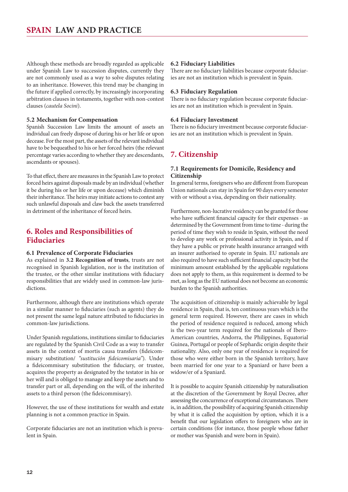<span id="page-11-0"></span>Although these methods are broadly regarded as applicable under Spanish Law to succession disputes, currently they are not commonly used as a way to solve disputes relating to an inheritance. However, this trend may be changing in the future if applied correctly, by increasingly incorporating arbitration clauses in testaments, together with non-contest clauses (*cautela Socini*).

#### **5.2 Mechanism for Compensation**

Spanish Succession Law limits the amount of assets an individual can freely dispose of during his or her life or upon decease. For the most part, the assets of the relevant individual have to be bequeathed to his or her forced heirs (the relevant percentage varies according to whether they are descendants, ascendants or spouses).

To that effect, there are measures in the Spanish Law to protect forced heirs against disposals made by an individual (whether it be during his or her life or upon decease) which diminish their inheritance. The heirs may initiate actions to contest any such unlawful disposals and claw back the assets transferred in detriment of the inheritance of forced heirs.

#### **6. Roles and Responsibilities of Fiduciaries**

#### **6.1 Prevalence of Corporate Fiduciaries**

As explained in **3.2 Recognition of trusts**, trusts are not recognised in Spanish legislation, nor is the institution of the trustee, or the other similar institutions with fiduciary responsibilities that are widely used in common-law jurisdictions.

Furthermore, although there are institutions which operate in a similar manner to fiduciaries (such as agents) they do not present the same legal nature attributed to fiduciaries in common-law jurisdictions.

Under Spanish regulations, institutions similar to fiduciaries are regulated by the Spanish Civil Code as a way to transfer assets in the context of mortis causa transfers (fideicommisary substitution/ *"sustitución fideicomisaria"*). Under a fideicommisary substitution the fiduciary, or trustee, acquires the property as designated by the testator in his or her will and is obliged to manage and keep the assets and to transfer part or all, depending on the will, of the inherited assets to a third person (the fideicommisary).

However, the use of these institutions for wealth and estate planning is not a common practice in Spain.

Corporate fiduciaries are not an institution which is prevalent in Spain.

#### **6.2 Fiduciary Liabilities**

There are no fiduciary liabilities because corporate fiduciaries are not an institution which is prevalent in Spain.

#### **6.3 Fiduciary Regulation**

There is no fiduciary regulation because corporate fiduciaries are not an institution which is prevalent in Spain.

#### **6.4 Fiduciary Investment**

There is no fiduciary investment because corporate fiduciaries are not an institution which is prevalent in Spain.

#### **7. Citizenship**

#### **7.1 Requirements for Domicile, Residency and Citizenship**

In general terms, foreigners who are different from European Union nationals can stay in Spain for 90 days every semester with or without a visa, depending on their nationality.

Furthermore, non-lucrative residency can be granted for those who have sufficient financial capacity for their expenses - as determined by the Government from time to time - during the period of time they wish to reside in Spain, without the need to develop any work or professional activity in Spain, and if they have a public or private health insurance arranged with an insurer authorised to operate in Spain. EU nationals are also required to have such sufficient financial capacity but the minimum amount established by the applicable regulations does not apply to them, as this requirement is deemed to be met, as long as the EU national does not become an economic burden to the Spanish authorities.

The acquisition of citizenship is mainly achievable by legal residence in Spain, that is, ten continuous years which is the general term required. However, there are cases in which the period of residence required is reduced, among which is the two-year term required for the nationals of Ibero-American countries, Andorra, the Philippines, Equatorial Guinea, Portugal or people of Sephardic origin despite their nationality. Also, only one year of residence is required for those who were either born in the Spanish territory, have been married for one year to a Spaniard or have been a widow/er of a Spaniard.

It is possible to acquire Spanish citizenship by naturalisation at the discretion of the Government by Royal Decree, after assessing the concurrence of exceptional circumstances. There is, in addition, the possibility of acquiring Spanish citizenship by what it is called the acquisition by option, which it is a benefit that our legislation offers to foreigners who are in certain conditions (for instance, those people whose father or mother was Spanish and were born in Spain).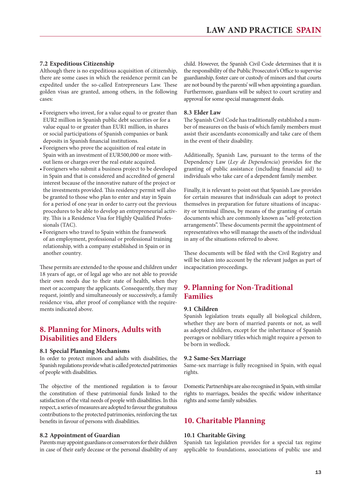#### <span id="page-12-0"></span>**7.2 Expeditious Citizenship**

Although there is no expeditious acquisition of citizenship, there are some cases in which the residence permit can be expedited under the so-called Entrepreneurs Law. These golden visas are granted, among others, in the following cases:

- • Foreigners who invest, for a value equal to or greater than EUR2 million in Spanish public debt securities or for a value equal to or greater than EUR1 million, in shares or social participations of Spanish companies or bank deposits in Spanish financial institutions.
- • Foreigners who prove the acquisition of real estate in Spain with an investment of EUR500,000 or more without liens or charges over the real estate acquired.
- • Foreigners who submit a business project to be developed in Spain and that is considered and accredited of general interest because of the innovative nature of the project or the investments provided. This residency permit will also be granted to those who plan to enter and stay in Spain for a period of one year in order to carry out the previous procedures to be able to develop an entrepreneurial activity. This is a Residence Visa for Highly Qualified Professionals (TAC).
- • Foreigners who travel to Spain within the framework of an employment, professional or professional training relationship, with a company established in Spain or in another country.

These permits are extended to the spouse and children under 18 years of age, or of legal age who are not able to provide their own needs due to their state of health, when they meet or accompany the applicants. Consequently, they may request, jointly and simultaneously or successively, a family residence visa, after proof of compliance with the requirements indicated above.

#### **8. Planning for Minors, Adults with Disabilities and Elders**

#### **8.1 Special Planning Mechanisms**

In order to protect minors and adults with disabilities, the Spanish regulations provide what is called protected patrimonies of people with disabilities.

The objective of the mentioned regulation is to favour the constitution of these patrimonial funds linked to the satisfaction of the vital needs of people with disabilities. In this respect, a series of measures are adopted to favour the gratuitous contributions to the protected patrimonies, reinforcing the tax benefits in favour of persons with disabilities.

#### **8.2 Appointment of Guardian**

Parents may appoint guardians or conservators for their children in case of their early decease or the personal disability of any

child. However, the Spanish Civil Code determines that it is the responsibility of the Public Prosecutor's Office to supervise guardianship, foster care or custody of minors and that courts are not bound by the parents' will when appointing a guardian. Furthermore, guardians will be subject to court scrutiny and approval for some special management deals.

#### **8.3 Elder Law**

The Spanish Civil Code has traditionally established a number of measures on the basis of which family members must assist their ascendants economically and take care of them in the event of their disability.

Additionally, Spanish Law, pursuant to the terms of the Dependency Law (*Ley de Dependencia*) provides for the granting of public assistance (including financial aid) to individuals who take care of a dependent family member.

Finally, it is relevant to point out that Spanish Law provides for certain measures that individuals can adopt to protect themselves in preparation for future situations of incapacity or terminal illness, by means of the granting of certain documents which are commonly known as "self-protection arrangements". These documents permit the appointment of representatives who will manage the assets of the individual in any of the situations referred to above.

These documents will be filed with the Civil Registry and will be taken into account by the relevant judges as part of incapacitation proceedings.

#### **9. Planning for Non-Traditional Families**

#### **9.1 Children**

Spanish legislation treats equally all biological children, whether they are born of married parents or not, as well as adopted children, except for the inheritance of Spanish peerages or nobiliary titles which might require a person to be born in wedlock.

#### **9.2 Same-Sex Marriage**

Same-sex marriage is fully recognised in Spain, with equal rights.

Domestic Partnerships are also recognised in Spain, with similar rights to marriages, besides the specific widow inheritance rights and some family subsidies.

#### **10. Charitable Planning**

#### **10.1 Charitable Giving**

Spanish tax legislation provides for a special tax regime applicable to foundations, associations of public use and